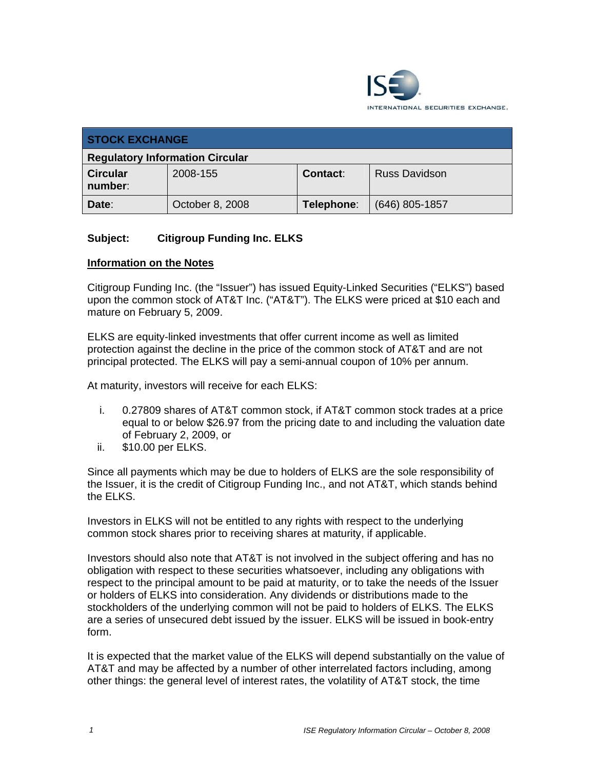

| <b>STOCK EXCHANGE</b>                  |                 |            |                      |
|----------------------------------------|-----------------|------------|----------------------|
| <b>Regulatory Information Circular</b> |                 |            |                      |
| <b>Circular</b><br>number:             | 2008-155        | Contact:   | <b>Russ Davidson</b> |
| Date:                                  | October 8, 2008 | Telephone: | $(646)$ 805-1857     |

# **Subject: Citigroup Funding Inc. ELKS**

#### **Information on the Notes**

Citigroup Funding Inc. (the "Issuer") has issued Equity-Linked Securities ("ELKS") based upon the common stock of AT&T Inc. ("AT&T"). The ELKS were priced at \$10 each and mature on February 5, 2009.

ELKS are equity-linked investments that offer current income as well as limited protection against the decline in the price of the common stock of AT&T and are not principal protected. The ELKS will pay a semi-annual coupon of 10% per annum.

At maturity, investors will receive for each ELKS:

- i. 0.27809 shares of AT&T common stock, if AT&T common stock trades at a price equal to or below \$26.97 from the pricing date to and including the valuation date of February 2, 2009, or
- ii. \$10.00 per ELKS.

Since all payments which may be due to holders of ELKS are the sole responsibility of the Issuer, it is the credit of Citigroup Funding Inc., and not AT&T, which stands behind the ELKS.

Investors in ELKS will not be entitled to any rights with respect to the underlying common stock shares prior to receiving shares at maturity, if applicable.

Investors should also note that AT&T is not involved in the subject offering and has no obligation with respect to these securities whatsoever, including any obligations with respect to the principal amount to be paid at maturity, or to take the needs of the Issuer or holders of ELKS into consideration. Any dividends or distributions made to the stockholders of the underlying common will not be paid to holders of ELKS. The ELKS are a series of unsecured debt issued by the issuer. ELKS will be issued in book-entry form.

It is expected that the market value of the ELKS will depend substantially on the value of AT&T and may be affected by a number of other interrelated factors including, among other things: the general level of interest rates, the volatility of AT&T stock, the time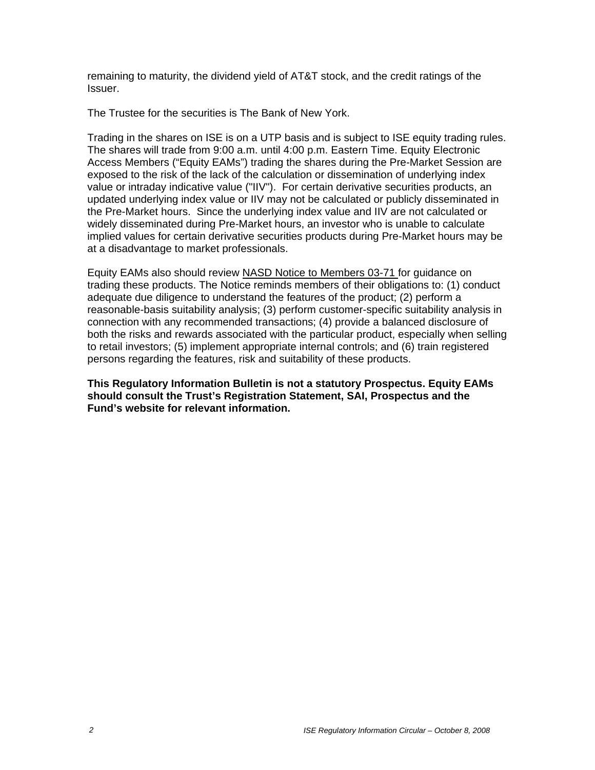remaining to maturity, the dividend yield of AT&T stock, and the credit ratings of the Issuer.

The Trustee for the securities is The Bank of New York.

Trading in the shares on ISE is on a UTP basis and is subject to ISE equity trading rules. The shares will trade from 9:00 a.m. until 4:00 p.m. Eastern Time. Equity Electronic Access Members ("Equity EAMs") trading the shares during the Pre-Market Session are exposed to the risk of the lack of the calculation or dissemination of underlying index value or intraday indicative value ("IIV"). For certain derivative securities products, an updated underlying index value or IIV may not be calculated or publicly disseminated in the Pre-Market hours. Since the underlying index value and IIV are not calculated or widely disseminated during Pre-Market hours, an investor who is unable to calculate implied values for certain derivative securities products during Pre-Market hours may be at a disadvantage to market professionals.

Equity EAMs also should review NASD Notice to Members 03-71 for guidance on trading these products. The Notice reminds members of their obligations to: (1) conduct adequate due diligence to understand the features of the product; (2) perform a reasonable-basis suitability analysis; (3) perform customer-specific suitability analysis in connection with any recommended transactions; (4) provide a balanced disclosure of both the risks and rewards associated with the particular product, especially when selling to retail investors; (5) implement appropriate internal controls; and (6) train registered persons regarding the features, risk and suitability of these products.

**This Regulatory Information Bulletin is not a statutory Prospectus. Equity EAMs should consult the Trust's Registration Statement, SAI, Prospectus and the Fund's website for relevant information.**